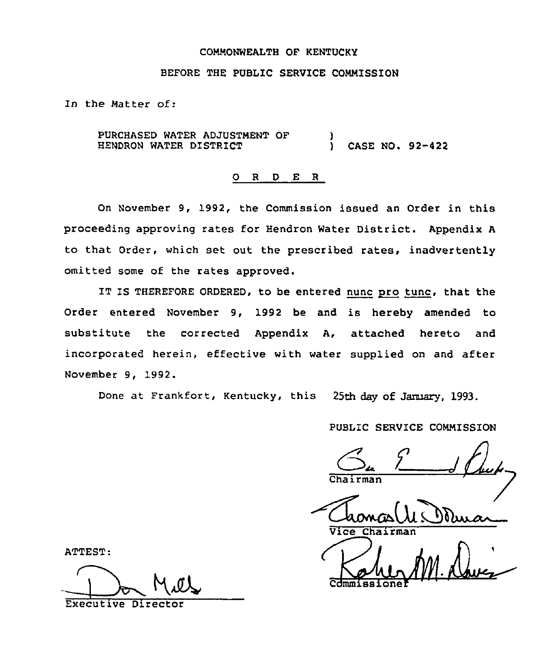#### COMMONWEALTH OF KENTUCKY

### BEFORE THE PUBLIC SERVICE COMMISSION

In the Matter of:

PURCHASED WATER ADJUSTMENT OF HENDRON WATER DISTRICT ) ) CASE NO. 92-422

### 0 <sup>R</sup> <sup>D</sup> E <sup>R</sup>

On November 9, 1992, the Commission issued an Order in this proceeding approving rates for Hendron Water District. Appendix <sup>A</sup> to that Order, which set out the prescribed rates, inadvertently omitted some of the rates approved.

IT IS THEREFORE ORDERED, to be entered nunc pro tunc, that the Order entered November 9, 1992 be and is hereby amended to substitute the corrected Appendix A, attached hereto and incorporated herein, effective with water supplied on and after November 9, 1992.

Done at Frankfort, Kentucky, this 25th day of January, 1993.

PUBLIC SERVICE COMMISSION

 $S_{\mu}$   $\frac{1}{\mu}$ 

Chairman<br>Chamas (U.S.)

Cdmmissione

ATTEST:

Executive Director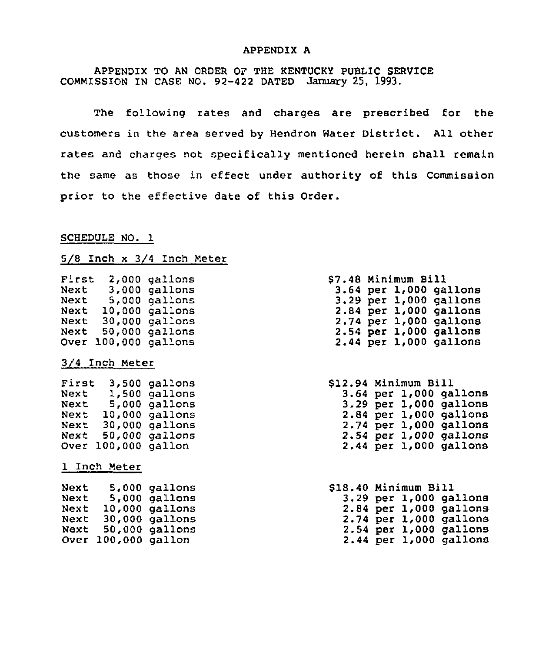#### APPENDIX A

APPENDIX TO AN ORDER OF THE KENTUCKY PUBLIC SERVICE COMMISSION IN CASE NO. 92-422 DATED January 25, 1993.

The following rates and charges are prescribed for the customers in the area served by Hendron Water District. All other rates and charges not specifically mentioned herein shall remain the same as those in effect under authority of this Commission prior to the effective date of this Order.

#### SCHEDULE NO. 1

## 5/8 Inch x 3/4 Inch Meter

| First<br>Next<br>Next<br>Next | 2,000<br>3,000<br>5,000<br>10,000 | gallons<br>gallons<br>gallons<br>gallons |
|-------------------------------|-----------------------------------|------------------------------------------|
| Next                          | 30,000                            | gallons                                  |
| Next<br>Over                  | 50,000<br>100,000                 | gallons<br>gallons                       |
|                               |                                   |                                          |
|                               | 3/4 Inch Meter                    |                                          |
| First                         | 3,500                             | gallons                                  |
| Next                          | 1,500                             | gallons                                  |
| Next                          | 5,000                             | gallons                                  |
| Next                          | 10,000                            | gallons                                  |
| Next                          | 30,000                            | gallons                                  |
| Next                          | 50,000                            | gallons                                  |
| Over                          | 100,000                           | gallon                                   |
|                               | 1 Inch Meter                      |                                          |
| Next                          | 5,000                             | gallons                                  |
| Next                          | 5,000                             | gallons                                  |
| Next                          | 10,000                            | gallons                                  |
| Next                          | 30,000                            | gallons                                  |
| Next                          | 50,000                            | gallons                                  |
| Over                          | 100,000                           | gallon                                   |

|  | \$7.48 Minimum Bill |                            |
|--|---------------------|----------------------------|
|  |                     | 3.64 per 1,000 gallons     |
|  |                     | 3.29 per 1,000 gallons     |
|  |                     | 2.84 per 1,000 gallons     |
|  |                     | $2.74$ per $1,000$ gallons |
|  |                     | 2.54 per 1,000 gallons     |
|  |                     | 2.44 per 1,000 gallons     |
|  |                     |                            |

\$12.94 Minimum Bill 3.64 per 1,000 gallon 3.29 per 1,000 gallon 2.84 per 1,000 gallon 2.74 per 1,000 gallon 2.54 per 1,000 gallon 2.44 per 1,000 gallon

| \$18.40 Minimum Bill |  |                            |
|----------------------|--|----------------------------|
|                      |  | $3.29$ per $1,000$ gallons |
|                      |  | 2.84 per 1,000 gallons     |
|                      |  | 2.74 per 1,000 gallons     |
|                      |  | $2.54$ per $1,000$ gallons |
|                      |  | 2.44 per 1,000 gallons     |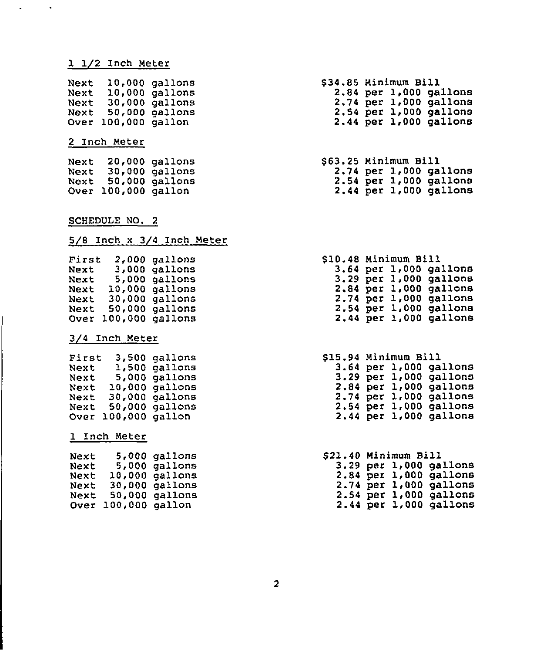### 1 1/2 Inch Meter

| Next |         | 10,000 gallons |
|------|---------|----------------|
| Next | 10,000  | gallons        |
| Next | 30,000  | gallons        |
| Next | 50,000  | gallons        |
| Over | 100,000 | gallon         |

### 2 Inch Meter

| Next |                | $20,000$ gallons |
|------|----------------|------------------|
| Next |                | 30,000 gallons   |
| Next | 50,000         | gallons          |
| Over | 100,000 gallon |                  |

#### <u>SCHEDULE NO. 2</u>

# 5/8 Inch x 3/4 Inch Meter

| First | 2.000   | gallons |
|-------|---------|---------|
| Next  | 3,000   | gallons |
| Next  | 5,000   | gallons |
| Next  | 10,000  | gallons |
| Next  | 30,000  | gallons |
| Next  | 50,000  | gallons |
| Over  | 100,000 | gallons |

### 3/4 Inch Meter

| First | 3,500   | gallons |
|-------|---------|---------|
| Next  | 1,500   | qallons |
| Next  | 5,000   | gallons |
| Next  | 10,000  | gallons |
| Next  | 30,000  | gallons |
| Next  | 50,000  | qallons |
| Over  | 100,000 | gallon  |

#### 1 Inch Meter

| Next |                | 5,000 gallons  |
|------|----------------|----------------|
| Next |                | 5,000 gallons  |
| Next |                | 10,000 gallons |
| Next |                | 30,000 gallons |
| Next |                | 50,000 gallons |
| Over | 100,000 gallon |                |

- \$34.85 Minimum Bill 2.84 per 1,000 gallons 2.74 per 1,000 gallons 2.54 per 1,000 gallons 2.44 per 1,000 gallons
- \$ 63.25 Minimum Bill 2.74 per 1,000 gallons 2.54 per 1,000 gallons 2.44 per 1,000 gallons

#### $$10.48$ <br>3.64<br>3.29<br>2.84 2.74 per 1,000 gallon 2.54  $\overline{2.44}$ S10.48 Minimum Bill per 1,000 gallons per 1,000 gallon per 1,000 gallons per 1,000 gallon per 1,000 gallon

#### \$15.94 Minimum Bill 3.64 per 1,000 gallons 3.29 per 1,000 gallon  $2.84$ 2.74 2.54 per 1,000 gallon 2.44 per 1,000 gallon per 1,000 gallon per 1,000 gallon

#### \$21.40 Minimum Bill  $3.29$  per  $1,000$  gallon 2.84 per 1,000 gallon 2.74 per 1,000 gallons 2.54 per 1,000 gallons 2.44 per 1,000 gallons